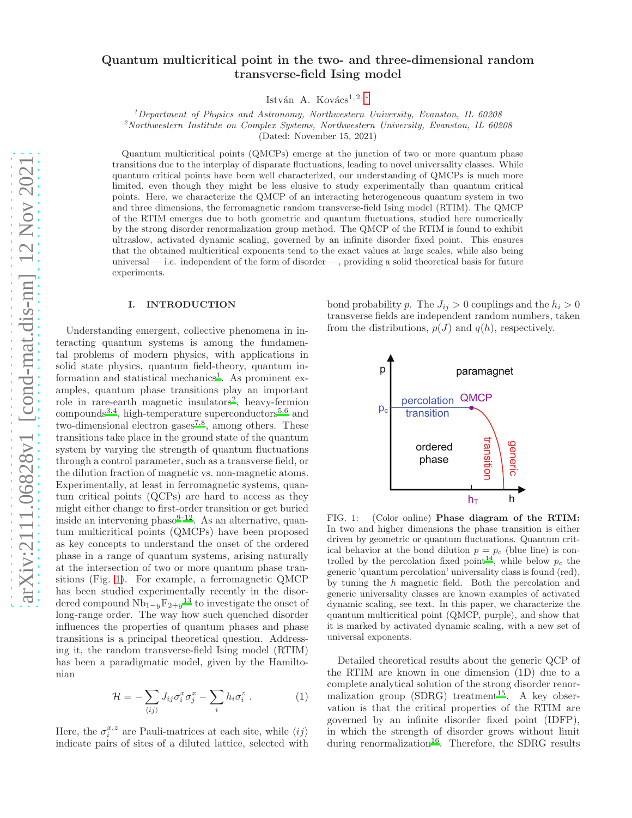# Quantum multicritical point in the two- and three-dimensional random transverse-field Ising model

István A. Kovács<sup>1, 2, [∗](#page-5-0)</sup>

 $1$ Department of Physics and Astronomy, Northwestern University, Evanston, IL 60208

 $2^2$ Northwestern Institute on Complex Systems, Northwestern University, Evanston, IL 60208

(Dated: November 15, 2021)

Quantum multicritical points (QMCPs) emerge at the junction of two or more quantum phase transitions due to the interplay of disparate fluctuations, leading to novel universality classes. While quantum critical points have been well characterized, our understanding of QMCPs is much more limited, even though they might be less elusive to study experimentally than quantum critical points. Here, we characterize the QMCP of an interacting heterogeneous quantum system in two and three dimensions, the ferromagnetic random transverse-field Ising model (RTIM). The QMCP of the RTIM emerges due to both geometric and quantum fluctuations, studied here numerically by the strong disorder renormalization group method. The QMCP of the RTIM is found to exhibit ultraslow, activated dynamic scaling, governed by an infinite disorder fixed point. This ensures that the obtained multicritical exponents tend to the exact values at large scales, while also being universal — i.e. independent of the form of disorder —, providing a solid theoretical basis for future experiments.

### I. INTRODUCTION

Understanding emergent, collective phenomena in interacting quantum systems is among the fundamental problems of modern physics, with applications in solid state physics, quantum field-theory, quantum in-formation and statistical mechanics<sup>[1](#page-5-1)</sup>. As prominent examples, quantum phase transitions play an important role in rare-earth magnetic insulators<sup>[2](#page-5-2)</sup>, heavy-fermion compounds<sup>[3](#page-5-3)[,4](#page-5-4)</sup>, high-temperature superconductors<sup>[5](#page-5-5)[,6](#page-6-0)</sup> and two-dimensional electron gases<sup>[7](#page-6-1)[,8](#page-6-2)</sup>, among others. These transitions take place in the ground state of the quantum system by varying the strength of quantum fluctuations through a control parameter, such as a transverse field, or the dilution fraction of magnetic vs. non-magnetic atoms. Experimentally, at least in ferromagnetic systems, quantum critical points (QCPs) are hard to access as they might either change to first-order transition or get buried inside an intervening phase $9-12$  $9-12$ . As an alternative, quantum multicritical points (QMCPs) have been proposed as key concepts to understand the onset of the ordered phase in a range of quantum systems, arising naturally at the intersection of two or more quantum phase transitions (Fig. [1\)](#page-0-0). For example, a ferromagnetic QMCP has been studied experimentally recently in the disordered compound  $Nb_{1-y}F_{2+y}^{13}$  $Nb_{1-y}F_{2+y}^{13}$  $Nb_{1-y}F_{2+y}^{13}$  to investigate the onset of long-range order. The way how such quenched disorder influences the properties of quantum phases and phase transitions is a principal theoretical question. Addressing it, the random transverse-field Ising model (RTIM) has been a paradigmatic model, given by the Hamiltonian

$$
\mathcal{H} = -\sum_{\langle ij \rangle} J_{ij} \sigma_i^x \sigma_j^x - \sum_i h_i \sigma_i^z . \tag{1}
$$

Here, the  $\sigma_i^{x,z}$  are Pauli-matrices at each site, while  $\langle ij \rangle$ indicate pairs of sites of a diluted lattice, selected with bond probability p. The  $J_{ij} > 0$  couplings and the  $h_i > 0$ transverse fields are independent random numbers, taken from the distributions,  $p(J)$  and  $q(h)$ , respectively.



<span id="page-0-0"></span>FIG. 1: (Color online) Phase diagram of the RTIM: In two and higher dimensions the phase transition is either driven by geometric or quantum fluctuations. Quantum critical behavior at the bond dilution  $p = p_c$  (blue line) is con-trolled by the percolation fixed point<sup>[14](#page-6-6)</sup>, while below  $p_c$  the generic 'quantum percolation' universality class is found (red), by tuning the h magnetic field. Both the percolation and generic universality classes are known examples of activated dynamic scaling, see text. In this paper, we characterize the quantum multicritical point (QMCP, purple), and show that it is marked by activated dynamic scaling, with a new set of universal exponents.

Detailed theoretical results about the generic QCP of the RTIM are known in one dimension (1D) due to a complete analytical solution of the strong disorder renormalization group  $(SDRG)$  treatment<sup>[15](#page-6-7)</sup>. A key observation is that the critical properties of the RTIM are governed by an infinite disorder fixed point (IDFP), in which the strength of disorder grows without limit during renormalization<sup>[16](#page-6-8)</sup>. Therefore, the SDRG results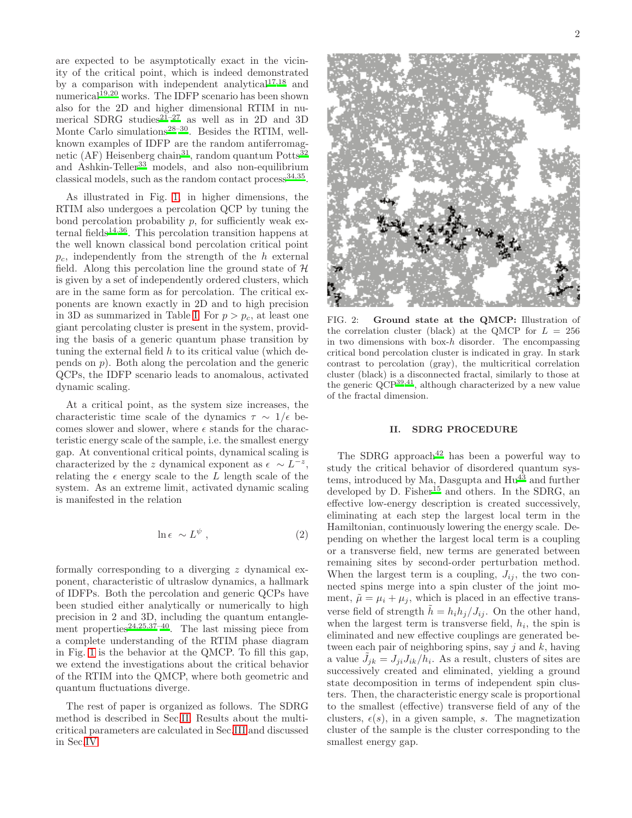are expected to be asymptotically exact in the vicinity of the critical point, which is indeed demonstrated by a comparison with independent analytical $17,18$  $17,18$  and numerical<sup>[19](#page-6-11)[,20](#page-6-12)</sup> works. The IDFP scenario has been shown also for the 2D and higher dimensional RTIM in nu-merical SDRG studies<sup>[21](#page-6-13)[–27](#page-6-14)</sup> as well as in 2D and 3D Monte Carlo simulations<sup>[28](#page-6-15)[–30](#page-6-16)</sup>. Besides the RTIM, wellknown examples of IDFP are the random antiferromag-netic (AF) Heisenberg chain<sup>[31](#page-6-17)</sup>, random quantum Potts<sup>[32](#page-6-18)</sup> and Ashkin-Teller<sup>[33](#page-6-19)</sup> models, and also non-equilibrium classical models, such as the random contact  $\text{process}^{34,35}$  $\text{process}^{34,35}$  $\text{process}^{34,35}$  $\text{process}^{34,35}$ .

As illustrated in Fig. [1,](#page-0-0) in higher dimensions, the RTIM also undergoes a percolation QCP by tuning the bond percolation probability  $p$ , for sufficiently weak ex-ternal fields<sup>[14](#page-6-6)[,36](#page-6-22)</sup>. This percolation transition happens at the well known classical bond percolation critical point  $p_c$ , independently from the strength of the h external field. Along this percolation line the ground state of  $H$ is given by a set of independently ordered clusters, which are in the same form as for percolation. The critical exponents are known exactly in 2D and to high precision in 3D as summarized in Table [I.](#page-5-6) For  $p > p_c$ , at least one giant percolating cluster is present in the system, providing the basis of a generic quantum phase transition by tuning the external field  $h$  to its critical value (which depends on  $p$ ). Both along the percolation and the generic QCPs, the IDFP scenario leads to anomalous, activated dynamic scaling.

At a critical point, as the system size increases, the characteristic time scale of the dynamics  $\tau \sim 1/\epsilon$  becomes slower and slower, where  $\epsilon$  stands for the characteristic energy scale of the sample, i.e. the smallest energy gap. At conventional critical points, dynamical scaling is characterized by the z dynamical exponent as  $\epsilon \sim L^{-z}$ , relating the  $\epsilon$  energy scale to the L length scale of the system. As an extreme limit, activated dynamic scaling is manifested in the relation

<span id="page-1-2"></span>
$$
\ln \epsilon \sim L^{\psi} \;, \tag{2}
$$

formally corresponding to a diverging z dynamical exponent, characteristic of ultraslow dynamics, a hallmark of IDFPs. Both the percolation and generic QCPs have been studied either analytically or numerically to high precision in 2 and 3D, including the quantum entangle-ment properties<sup>[24](#page-6-23)[,25](#page-6-24)[,37](#page-6-25)[–40](#page-6-26)</sup>. The last missing piece from a complete understanding of the RTIM phase diagram in Fig. [1](#page-0-0) is the behavior at the QMCP. To fill this gap, we extend the investigations about the critical behavior of the RTIM into the QMCP, where both geometric and quantum fluctuations diverge.

The rest of paper is organized as follows. The SDRG method is described in Sec[.II.](#page-1-0) Results about the multicritical parameters are calculated in Sec[.III](#page-2-0) and discussed in Sec[.IV.](#page-5-7)



FIG. 2: Ground state at the QMCP: Illustration of the correlation cluster (black) at the QMCP for  $L = 256$ in two dimensions with box-h disorder. The encompassing critical bond percolation cluster is indicated in gray. In stark contrast to percolation (gray), the multicritical correlation cluster (black) is a disconnected fractal, similarly to those at the generic  $QCP^{39,41}$  $QCP^{39,41}$  $QCP^{39,41}$  $QCP^{39,41}$ , although characterized by a new value of the fractal dimension.

# <span id="page-1-1"></span><span id="page-1-0"></span>II. SDRG PROCEDURE

The SDRG approach<sup>[42](#page-6-29)</sup> has been a powerful way to study the critical behavior of disordered quantum systems, introduced by Ma, Dasgupta and  $\text{Hu}^{43}$  $\text{Hu}^{43}$  $\text{Hu}^{43}$  and further developed by D. Fisher<sup>[15](#page-6-7)</sup> and others. In the SDRG, an effective low-energy description is created successively, eliminating at each step the largest local term in the Hamiltonian, continuously lowering the energy scale. Depending on whether the largest local term is a coupling or a transverse field, new terms are generated between remaining sites by second-order perturbation method. When the largest term is a coupling,  $J_{ij}$ , the two connected spins merge into a spin cluster of the joint moment,  $\tilde{\mu} = \mu_i + \mu_j$ , which is placed in an effective transverse field of strength  $h = h_i h_j / J_{ij}$ . On the other hand, when the largest term is transverse field,  $h_i$ , the spin is eliminated and new effective couplings are generated between each pair of neighboring spins, say  $j$  and  $k$ , having a value  $\tilde{J}_{jk} = J_{ji}J_{ik}/\tilde{h}_i$ . As a result, clusters of sites are successively created and eliminated, yielding a ground state decomposition in terms of independent spin clusters. Then, the characteristic energy scale is proportional to the smallest (effective) transverse field of any of the clusters,  $\epsilon(s)$ , in a given sample, s. The magnetization cluster of the sample is the cluster corresponding to the smallest energy gap.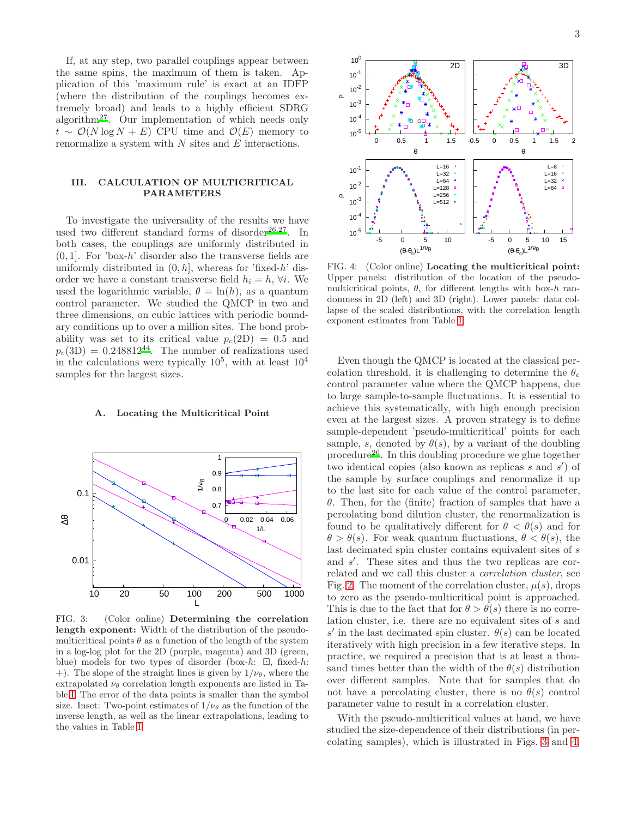If, at any step, two parallel couplings appear between the same spins, the maximum of them is taken. Application of this 'maximum rule' is exact at an IDFP (where the distribution of the couplings becomes extremely broad) and leads to a highly efficient SDRG algorithm<sup>[27](#page-6-14)</sup>. Our implementation of which needs only  $t \sim \mathcal{O}(N \log N + E)$  CPU time and  $\mathcal{O}(E)$  memory to renormalize a system with N sites and E interactions.

# <span id="page-2-0"></span>III. CALCULATION OF MULTICRITICAL PARAMETERS

To investigate the universality of the results we have used two different standard forms of disorder<sup>[26](#page-6-31)[,27](#page-6-14)</sup>. In both cases, the couplings are uniformly distributed in  $(0, 1]$ . For 'box-h' disorder also the transverse fields are uniformly distributed in  $(0, h]$ , whereas for 'fixed-h' disorder we have a constant transverse field  $h_i = h$ ,  $\forall i$ . We used the logarithmic variable,  $\theta = \ln(h)$ , as a quantum control parameter. We studied the QMCP in two and three dimensions, on cubic lattices with periodic boundary conditions up to over a million sites. The bond probability was set to its critical value  $p_c(2D) = 0.5$  and  $p_c(3D) = 0.248812^{44}$  $p_c(3D) = 0.248812^{44}$  $p_c(3D) = 0.248812^{44}$ . The number of realizations used in the calculations were typically  $10^5$ , with at least  $10^4$ samples for the largest sizes.

### A. Locating the Multicritical Point



<span id="page-2-1"></span>FIG. 3: (Color online) Determining the correlation length exponent: Width of the distribution of the pseudomulticritical points  $\theta$  as a function of the length of the system in a log-log plot for the 2D (purple, magenta) and 3D (green, blue) models for two types of disorder (box-h:  $\Box$ , fixed-h: +). The slope of the straight lines is given by  $1/\nu_{\theta}$ , where the extrapolated  $\nu_{\theta}$  correlation length exponents are listed in Table [I.](#page-5-6) The error of the data points is smaller than the symbol size. Inset: Two-point estimates of  $1/\nu_{\theta}$  as the function of the inverse length, as well as the linear extrapolations, leading to the values in Table [I.](#page-5-6)



<span id="page-2-2"></span>FIG. 4: (Color online) Locating the multicritical point: Upper panels: distribution of the location of the pseudomulticritical points,  $\theta$ , for different lengths with box-h randomness in 2D (left) and 3D (right). Lower panels: data collapse of the scaled distributions, with the correlation length exponent estimates from Table [I.](#page-5-6)

Even though the QMCP is located at the classical percolation threshold, it is challenging to determine the  $\theta_c$ control parameter value where the QMCP happens, due to large sample-to-sample fluctuations. It is essential to achieve this systematically, with high enough precision even at the largest sizes. A proven strategy is to define sample-dependent 'pseudo-multicritical' points for each sample, s, denoted by  $\theta(s)$ , by a variant of the doubling procedure<sup>[26](#page-6-31)</sup>. In this doubling procedure we glue together two identical copies (also known as replicas s and s') of the sample by surface couplings and renormalize it up to the last site for each value of the control parameter,  $\theta$ . Then, for the (finite) fraction of samples that have a percolating bond dilution cluster, the renormalization is found to be qualitatively different for  $\theta < \theta(s)$  and for  $\theta > \theta(s)$ . For weak quantum fluctuations,  $\theta < \theta(s)$ , the last decimated spin cluster contains equivalent sites of s and s ′ . These sites and thus the two replicas are correlated and we call this cluster a correlation cluster, see Fig. [2.](#page-1-1) The moment of the correlation cluster,  $\mu(s)$ , drops to zero as the pseudo-multicritical point is approached. This is due to the fact that for  $\theta > \theta(s)$  there is no correlation cluster, i.e. there are no equivalent sites of s and s' in the last decimated spin cluster.  $\theta(s)$  can be located iteratively with high precision in a few iterative steps. In practice, we required a precision that is at least a thousand times better than the width of the  $\theta(s)$  distribution over different samples. Note that for samples that do not have a percolating cluster, there is no  $\theta(s)$  control parameter value to result in a correlation cluster.

With the pseudo-multicritical values at hand, we have studied the size-dependence of their distributions (in percolating samples), which is illustrated in Figs. [3](#page-2-1) and [4.](#page-2-2)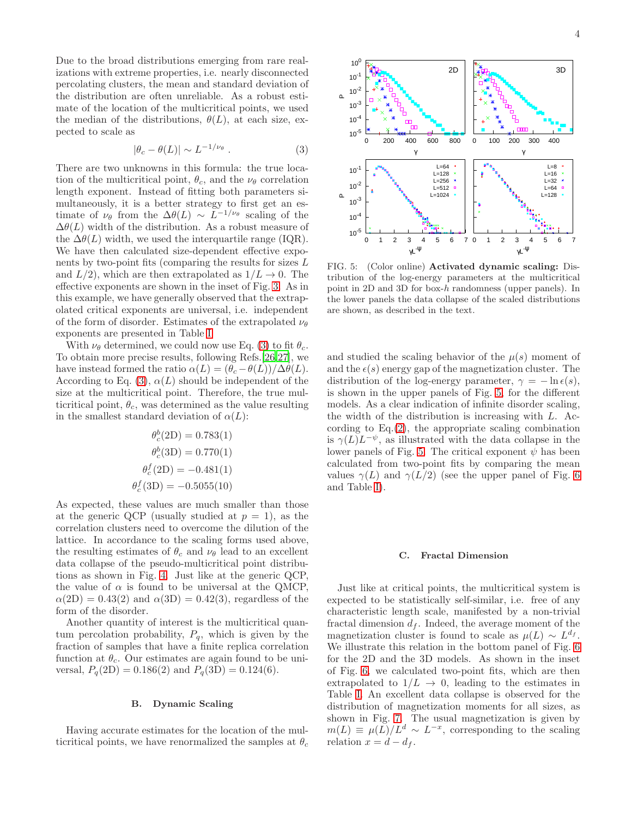Due to the broad distributions emerging from rare realizations with extreme properties, i.e. nearly disconnected percolating clusters, the mean and standard deviation of the distribution are often unreliable. As a robust estimate of the location of the multicritical points, we used the median of the distributions,  $\theta(L)$ , at each size, expected to scale as

<span id="page-3-0"></span>
$$
|\theta_c - \theta(L)| \sim L^{-1/\nu_\theta} . \tag{3}
$$

There are two unknowns in this formula: the true location of the multicritical point,  $\theta_c$ , and the  $\nu_\theta$  correlation length exponent. Instead of fitting both parameters simultaneously, it is a better strategy to first get an estimate of  $\nu_\theta$  from the  $\Delta\theta(L) \sim L^{-1/\nu_\theta}$  scaling of the  $\Delta\theta(L)$  width of the distribution. As a robust measure of the  $\Delta\theta(L)$  width, we used the interquartile range (IQR). We have then calculated size-dependent effective exponents by two-point fits (comparing the results for sizes L and  $L/2$ , which are then extrapolated as  $1/L \rightarrow 0$ . The effective exponents are shown in the inset of Fig. [3.](#page-2-1) As in this example, we have generally observed that the extrapolated critical exponents are universal, i.e. independent of the form of disorder. Estimates of the extrapolated  $\nu_{\theta}$ exponents are presented in Table [I.](#page-5-6)

With  $\nu_{\theta}$  determined, we could now use Eq. [\(3\)](#page-3-0) to fit  $\theta_c$ . To obtain more precise results, following Refs.[\[26](#page-6-31)[,27](#page-6-14)], we have instead formed the ratio  $\alpha(L) = (\theta_c - \theta(L))/\Delta\theta(L)$ . According to Eq. [\(3\)](#page-3-0),  $\alpha(L)$  should be independent of the size at the multicritical point. Therefore, the true multicritical point,  $\theta_c$ , was determined as the value resulting in the smallest standard deviation of  $\alpha(L)$ :

$$
\theta_c^b(2D) = 0.783(1)
$$

$$
\theta_c^b(3D) = 0.770(1)
$$

$$
\theta_c^f(2D) = -0.481(1)
$$

$$
\theta_c^f(3D) = -0.5055(10)
$$

As expected, these values are much smaller than those at the generic QCP (usually studied at  $p = 1$ ), as the correlation clusters need to overcome the dilution of the lattice. In accordance to the scaling forms used above, the resulting estimates of  $\theta_c$  and  $\nu_\theta$  lead to an excellent data collapse of the pseudo-multicritical point distributions as shown in Fig. [4.](#page-2-2) Just like at the generic QCP, the value of  $\alpha$  is found to be universal at the QMCP,  $\alpha(2D) = 0.43(2)$  and  $\alpha(3D) = 0.42(3)$ , regardless of the form of the disorder.

Another quantity of interest is the multicritical quantum percolation probability,  $P_q$ , which is given by the fraction of samples that have a finite replica correlation function at  $\theta_c$ . Our estimates are again found to be universal,  $P_q(2D) = 0.186(2)$  and  $P_q(3D) = 0.124(6)$ .

# B. Dynamic Scaling

Having accurate estimates for the location of the multicritical points, we have renormalized the samples at  $\theta_c$ 



<span id="page-3-1"></span>FIG. 5: (Color online) Activated dynamic scaling: Distribution of the log-energy parameters at the multicritical point in 2D and 3D for box-h randomness (upper panels). In the lower panels the data collapse of the scaled distributions are shown, as described in the text.

and studied the scaling behavior of the  $\mu(s)$  moment of and the  $\epsilon(s)$  energy gap of the magnetization cluster. The distribution of the log-energy parameter,  $\gamma = -\ln \epsilon(s)$ , is shown in the upper panels of Fig. [5,](#page-3-1) for the different models. As a clear indication of infinite disorder scaling, the width of the distribution is increasing with L. According to  $Eq.(2)$  $Eq.(2)$ , the appropriate scaling combination is  $\gamma(L)L^{-\psi}$ , as illustrated with the data collapse in the lower panels of Fig. [5.](#page-3-1) The critical exponent  $\psi$  has been calculated from two-point fits by comparing the mean values  $\gamma(L)$  and  $\gamma(L/2)$  (see the upper panel of Fig. [6](#page-4-0)) and Table [I\)](#page-5-6).

#### C. Fractal Dimension

Just like at critical points, the multicritical system is expected to be statistically self-similar, i.e. free of any characteristic length scale, manifested by a non-trivial fractal dimension  $d_f$ . Indeed, the average moment of the magnetization cluster is found to scale as  $\mu(L) \sim L^{d_f}$ . We illustrate this relation in the bottom panel of Fig. [6](#page-4-0) for the 2D and the 3D models. As shown in the inset of Fig. [6,](#page-4-0) we calculated two-point fits, which are then extrapolated to  $1/L \rightarrow 0$ , leading to the estimates in Table [I.](#page-5-6) An excellent data collapse is observed for the distribution of magnetization moments for all sizes, as shown in Fig. [7.](#page-4-1) The usual magnetization is given by  $m(L) \equiv \mu(L)/L^d \sim L^{-x}$ , corresponding to the scaling relation  $x = d - d_f$ .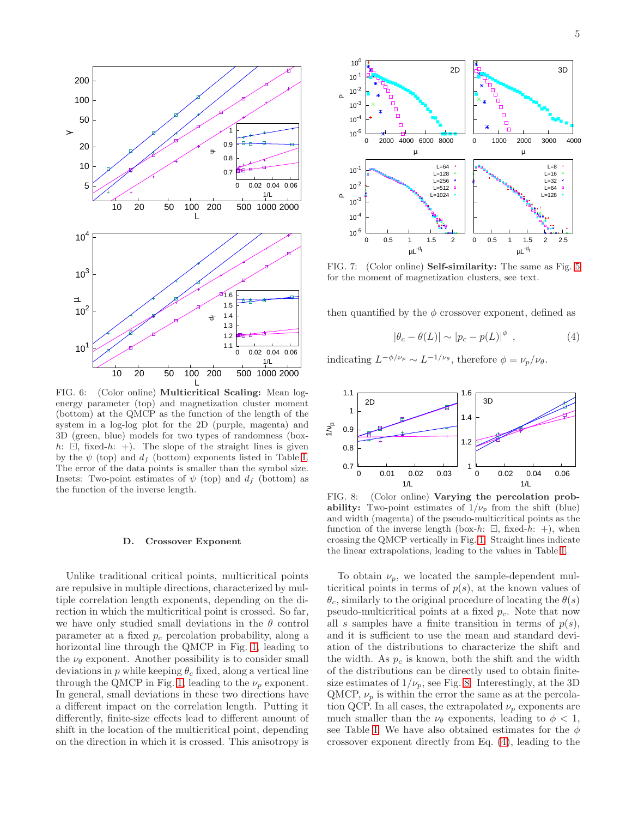

<span id="page-4-0"></span>FIG. 6: (Color online) **Multicritical Scaling:** Mean logenergy parameter (top) and magnetization cluster moment (bottom) at the QMCP as the function of the length of the system in a log-log plot for the 2D (purple, magenta) and 3D (green, blue) models for two types of randomness (boxh:  $\Box$ , fixed-h: +). The slope of the straight lines is given by the  $\psi$  (top) and  $d_f$  (bottom) exponents listed in Table [I.](#page-5-6) The error of the data points is smaller than the symbol size. Insets: Two-point estimates of  $\psi$  (top) and  $d_f$  (bottom) as the function of the inverse length.

#### D. Crossover Exponent

Unlike traditional critical points, multicritical points are repulsive in multiple directions, characterized by multiple correlation length exponents, depending on the direction in which the multicritical point is crossed. So far, we have only studied small deviations in the  $\theta$  control parameter at a fixed  $p_c$  percolation probability, along a horizontal line through the QMCP in Fig. [1,](#page-0-0) leading to the  $\nu_{\theta}$  exponent. Another possibility is to consider small deviations in p while keeping  $\theta_c$  fixed, along a vertical line through the QMCP in Fig. [1,](#page-0-0) leading to the  $\nu_p$  exponent. In general, small deviations in these two directions have a different impact on the correlation length. Putting it differently, finite-size effects lead to different amount of shift in the location of the multicritical point, depending on the direction in which it is crossed. This anisotropy is



<span id="page-4-1"></span>FIG. 7: (Color online) Self-similarity: The same as Fig. [5](#page-3-1) for the moment of magnetization clusters, see text.

then quantified by the  $\phi$  crossover exponent, defined as

<span id="page-4-3"></span>
$$
|\theta_c - \theta(L)| \sim |p_c - p(L)|^{\phi} , \qquad (4)
$$

indicating  $L^{-\phi/\nu_p} \sim L^{-1/\nu_\theta}$ , therefore  $\phi = \nu_p/\nu_\theta$ .



<span id="page-4-2"></span>FIG. 8: (Color online) Varying the percolation probability: Two-point estimates of  $1/\nu_p$  from the shift (blue) and width (magenta) of the pseudo-multicritical points as the function of the inverse length (box-h:  $\Box$ , fixed-h: +), when crossing the QMCP vertically in Fig. [1.](#page-0-0) Straight lines indicate the linear extrapolations, leading to the values in Table [I.](#page-5-6)

To obtain  $\nu_p$ , we located the sample-dependent multicritical points in terms of  $p(s)$ , at the known values of  $\theta_c$ , similarly to the original procedure of locating the  $\theta(s)$ pseudo-multicritical points at a fixed  $p_c$ . Note that now all s samples have a finite transition in terms of  $p(s)$ , and it is sufficient to use the mean and standard deviation of the distributions to characterize the shift and the width. As  $p_c$  is known, both the shift and the width of the distributions can be directly used to obtain finitesize estimates of  $1/\nu_p$ , see Fig. [8.](#page-4-2) Interestingly, at the 3D QMCP,  $\nu_p$  is within the error the same as at the percolation QCP. In all cases, the extrapolated  $\nu_p$  exponents are much smaller than the  $\nu_{\theta}$  exponents, leading to  $\phi < 1$ , see Table [I.](#page-5-6) We have also obtained estimates for the  $\phi$ crossover exponent directly from Eq. [\(4\)](#page-4-3), leading to the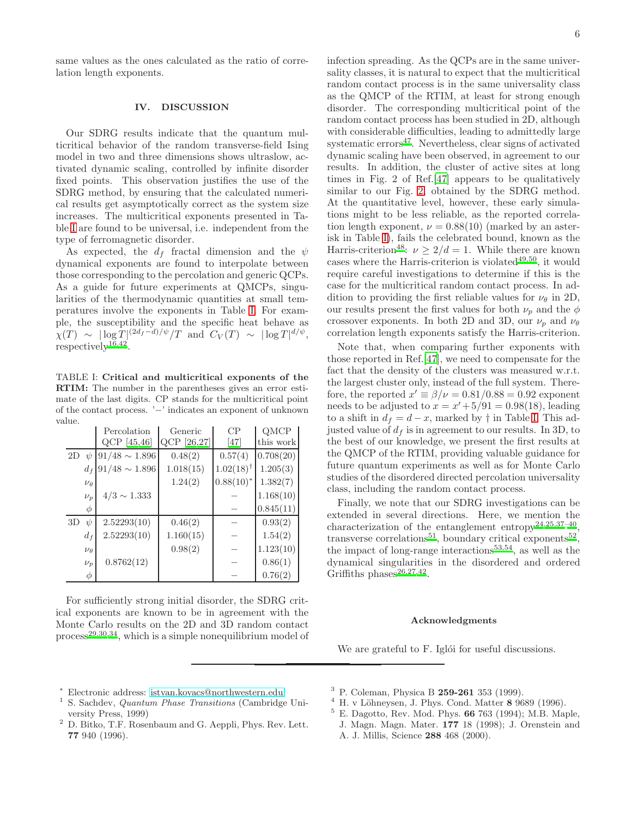same values as the ones calculated as the ratio of correlation length exponents.

## <span id="page-5-7"></span>IV. DISCUSSION

Our SDRG results indicate that the quantum multicritical behavior of the random transverse-field Ising model in two and three dimensions shows ultraslow, activated dynamic scaling, controlled by infinite disorder fixed points. This observation justifies the use of the SDRG method, by ensuring that the calculated numerical results get asymptotically correct as the system size increases. The multicritical exponents presented in Table [I](#page-5-6) are found to be universal, i.e. independent from the type of ferromagnetic disorder.

As expected, the  $d_f$  fractal dimension and the  $\psi$ dynamical exponents are found to interpolate between those corresponding to the percolation and generic QCPs. As a guide for future experiments at QMCPs, singularities of the thermodynamic quantities at small temperatures involve the exponents in Table [I.](#page-5-6) For example, the susceptibility and the specific heat behave as  $\chi(T) \sim |\log T|^{(2d_f - d)/\psi}/T$  and  $C_V(T) \sim |\log T|^{d/\psi},$  $respectively<sup>16,42</sup>.$  $respectively<sup>16,42</sup>.$  $respectively<sup>16,42</sup>.$  $respectively<sup>16,42</sup>.$ 

<span id="page-5-6"></span>TABLE I: Critical and multicritical exponents of the RTIM: The number in the parentheses gives an error estimate of the last digits. CP stands for the multicritical point of the contact process. '−' indicates an exponent of unknown value.

|    |                | Percolation        | Generic     | CP             | QMCP      |
|----|----------------|--------------------|-------------|----------------|-----------|
|    |                | $QCP$ [45,46]      | QCP [26,27] | [47]           | this work |
| 2D | $\psi$         | $91/48 \sim 1.896$ | 0.48(2)     | 0.57(4)        | 0.708(20) |
|    | $d_{f}$        | $91/48\sim1.896$   | 1.018(15)   | $1.02(18)^{†}$ | 1.205(3)  |
|    | $\nu_{\theta}$ |                    | 1.24(2)     | $0.88(10)^*$   | 1.382(7)  |
|    | $\nu_p$        | $4/3 \sim 1.333$   |             |                | 1.168(10) |
|    | φ              |                    |             |                | 0.845(11) |
| 3D | $\psi$         | 2.52293(10)        | 0.46(2)     |                | 0.93(2)   |
|    | $d_f$          | 2.52293(10)        | 1.160(15)   |                | 1.54(2)   |
|    | $\nu_{\theta}$ |                    | 0.98(2)     |                | 1.123(10) |
|    | $\nu_p$        | 0.8762(12)         |             |                | 0.86(1)   |
|    | φ              |                    |             |                | 0.76(2)   |

For sufficiently strong initial disorder, the SDRG critical exponents are known to be in agreement with the Monte Carlo results on the 2D and 3D random contact  $process<sup>29,30,34</sup>$  $process<sup>29,30,34</sup>$  $process<sup>29,30,34</sup>$  $process<sup>29,30,34</sup>$  $process<sup>29,30,34</sup>$ , which is a simple nonequilibrium model of infection spreading. As the QCPs are in the same universality classes, it is natural to expect that the multicritical random contact process is in the same universality class as the QMCP of the RTIM, at least for strong enough disorder. The corresponding multicritical point of the random contact process has been studied in 2D, although with considerable difficulties, leading to admittedly large systematic  $\text{errors}^{47}$  $\text{errors}^{47}$  $\text{errors}^{47}$ . Nevertheless, clear signs of activated dynamic scaling have been observed, in agreement to our results. In addition, the cluster of active sites at long times in Fig. 2 of Ref.[\[47](#page-6-35)] appears to be qualitatively similar to our Fig. [2,](#page-1-1) obtained by the SDRG method. At the quantitative level, however, these early simulations might to be less reliable, as the reported correlation length exponent,  $\nu = 0.88(10)$  (marked by an asterisk in Table [I\)](#page-5-6), fails the celebrated bound, known as the Harris-criterion<sup>[48](#page-6-37)</sup>:  $\nu \geq 2/d = 1$ . While there are known cases where the Harris-criterion is violated $49,50$  $49,50$ , it would require careful investigations to determine if this is the case for the multicritical random contact process. In addition to providing the first reliable values for  $\nu_{\theta}$  in 2D, our results present the first values for both  $\nu_p$  and the  $\phi$ crossover exponents. In both 2D and 3D, our  $\nu_p$  and  $\nu_\theta$ correlation length exponents satisfy the Harris-criterion.

Note that, when comparing further exponents with those reported in Ref.[\[47](#page-6-35)], we need to compensate for the fact that the density of the clusters was measured w.r.t. the largest cluster only, instead of the full system. Therefore, the reported  $x' \equiv \beta/\nu = 0.81/0.88 = 0.92$  exponent needs to be adjusted to  $x = x' + 5/91 = 0.98(18)$ , leading to a shift in  $d_f = d - x$ , marked by  $\dagger$  in Table [I.](#page-5-6) This adjusted value of  $d_f$  is in agreement to our results. In 3D, to the best of our knowledge, we present the first results at the QMCP of the RTIM, providing valuable guidance for future quantum experiments as well as for Monte Carlo studies of the disordered directed percolation universality class, including the random contact process.

Finally, we note that our SDRG investigations can be extended in several directions. Here, we mention the characterization of the entanglement entropy<sup>[24](#page-6-23)[,25](#page-6-24)[,37](#page-6-25)-40</sup>, transverse correlations<sup>[51](#page-6-40)</sup>, boundary critical exponents<sup>[52](#page-6-41)</sup>, the impact of long-range interactions<sup>[53](#page-6-42)[,54](#page-6-43)</sup>, as well as the dynamical singularities in the disordered and ordered Griffiths phases $26,27,42$  $26,27,42$  $26,27,42$ .

### Acknowledgments

We are grateful to F. Iglói for useful discussions.

- <sup>∗</sup> Electronic address: [istvan.kovacs@northwestern.edu](mailto:istvan.kovacs@northwestern.edu)
- <span id="page-5-1"></span><span id="page-5-0"></span><sup>1</sup> S. Sachdev, *Quantum Phase Transitions* (Cambridge University Press, 1999)
- <span id="page-5-2"></span><sup>2</sup> D. Bitko, T.F. Rosenbaum and G. Aeppli, Phys. Rev. Lett. 77 940 (1996).
- <span id="page-5-3"></span> $3$  P. Coleman, Physica B 259-261 353 (1999).
- <span id="page-5-4"></span> $4$  H. v Löhneysen, J. Phys. Cond. Matter 8 9689 (1996).
- <span id="page-5-5"></span><sup>5</sup> E. Dagotto, Rev. Mod. Phys. 66 763 (1994); M.B. Maple, J. Magn. Magn. Mater. 177 18 (1998); J. Orenstein and A. J. Millis, Science 288 468 (2000).